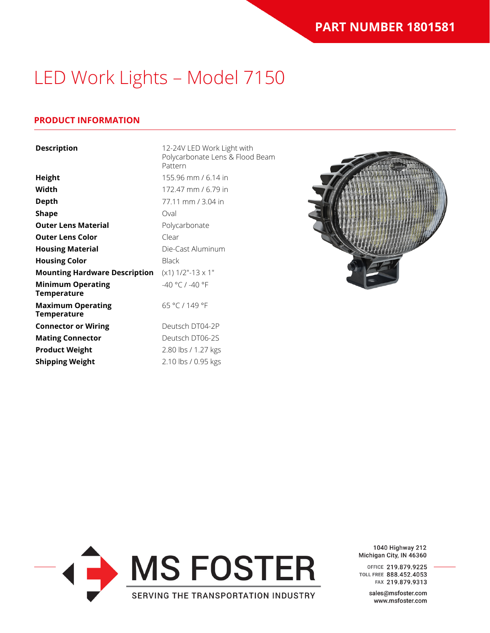# LED Work Lights – Model 7150

### **PRODUCT INFORMATION**

| <b>Description</b>                             | 12-24V LED Work Light with<br>Polycarbonate Lens & Flood Beam<br>Pattern |
|------------------------------------------------|--------------------------------------------------------------------------|
| <b>Height</b>                                  | 155.96 mm / 6.14 in                                                      |
| Width                                          | 172.47 mm / 6.79 in                                                      |
| <b>Depth</b>                                   | 77.11 mm / 3.04 in                                                       |
| <b>Shape</b>                                   | Oval                                                                     |
| <b>Outer Lens Material</b>                     | Polycarbonate                                                            |
| <b>Outer Lens Color</b>                        | Clear                                                                    |
| <b>Housing Material</b>                        | Die-Cast Aluminum                                                        |
| <b>Housing Color</b>                           | <b>Black</b>                                                             |
| <b>Mounting Hardware Description</b>           | $(x1)$ 1/2"-13 $x$ 1"                                                    |
| <b>Minimum Operating</b><br><b>Temperature</b> | $-40 °C / -40 °F$                                                        |
| <b>Maximum Operating</b><br><b>Temperature</b> | 65 °C / 149 °F                                                           |
| <b>Connector or Wiring</b>                     | Deutsch DT04-2P                                                          |
| <b>Mating Connector</b>                        | Deutsch DT06-2S                                                          |
| <b>Product Weight</b>                          | 2.80 lbs / 1.27 kgs                                                      |
| <b>Shipping Weight</b>                         | 2.10 lbs / 0.95 kgs                                                      |





1040 Highway 212 Michigan City, IN 46360

OFFICE 219.879.9225 TOLL FREE 888.452.4053 FAX 219.879.9313

> sales@msfoster.com www.msfoster.com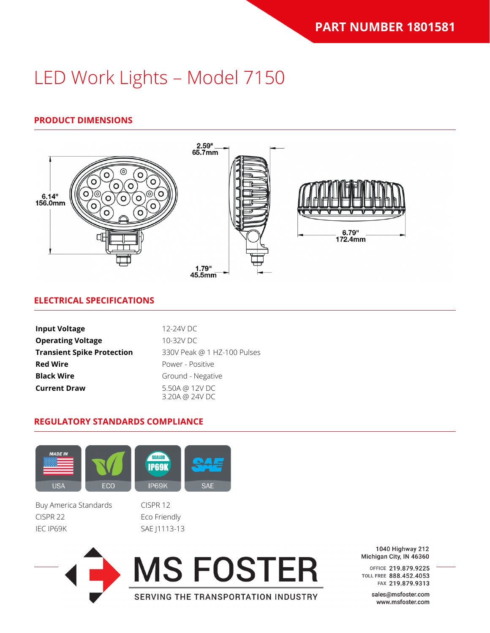# LED Work Lights – Model 7150

## **PRODUCT DIMENSIONS**



SERVING THE TRANSPORTATION INDUSTRY

### **ELECTRICAL SPECIFICATIONS**

| <b>Input Voltage</b>              | 12-24V DC                        |
|-----------------------------------|----------------------------------|
| <b>Operating Voltage</b>          | 10-32V DC                        |
| <b>Transient Spike Protection</b> | 330V Peak @ 1 HZ-100 Pulses      |
| <b>Red Wire</b>                   | Power - Positive                 |
| <b>Black Wire</b>                 | Ground - Negative                |
| <b>Current Draw</b>               | 5.50A @ 12V DC<br>3.20A @ 24V DC |

#### **REGULATORY STANDARDS COMPLIANCE**



1040 Highway 212 Michigan City, IN 46360

OFFICE 219.879.9225 TOLL FREE 888.452.4053 FAX 219.879.9313

> sales@msfoster.com www.msfoster.com